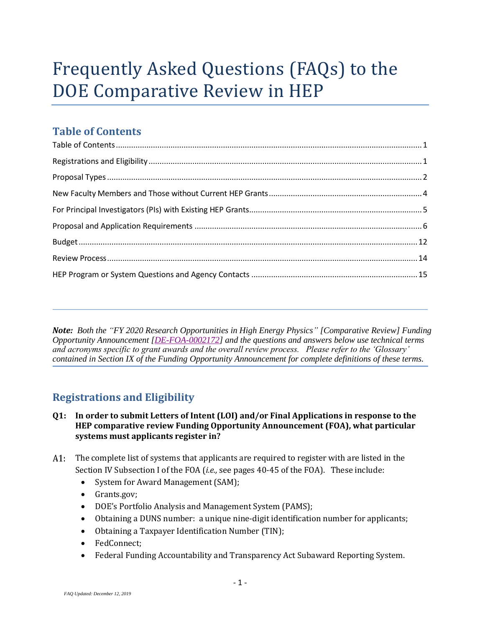# Frequently Asked Questions (FAQs) to the DOE Comparative Review in HEP

# <span id="page-0-0"></span>**Table of Contents**

*Note: Both the "FY 2020 Research Opportunities in High Energy Physics" [Comparative Review] Funding Opportunity Announcement [\[DE-FOA-0002172\]](https://science.osti.gov/hep/Funding-Opportunities) and the questions and answers below use technical terms and acronyms specific to grant awards and the overall review process. Please refer to the 'Glossary' contained in Section IX of the Funding Opportunity Announcement for complete definitions of these terms.*

# **Registrations and Eligibility**

<span id="page-0-1"></span>í

- **Q1: In order to submit Letters of Intent (LOI) and/or Final Applications in response to the HEP comparative review Funding Opportunity Announcement (FOA), what particular systems must applicants register in?**
- $A1:$ The complete list of systems that applicants are required to register with are listed in the Section IV Subsection I of the FOA (*i.e.,* see pages 40-45 of the FOA). These include:
	- System for Award Management (SAM);
	- Grants.gov;
	- DOE's Portfolio Analysis and Management System (PAMS);
	- Obtaining a DUNS number: a unique nine-digit identification number for applicants;
	- Obtaining a Taxpayer Identification Number (TIN);
	- FedConnect;
	- Federal Funding Accountability and Transparency Act Subaward Reporting System.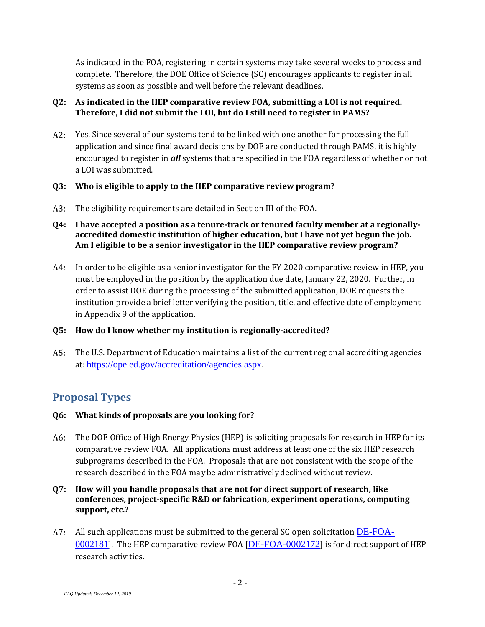As indicated in the FOA, registering in certain systems may take several weeks to process and complete. Therefore, the DOE Office of Science (SC) encourages applicants to register in all systems as soon as possible and well before the relevant deadlines.

#### **Q2: As indicated in the HEP comparative review FOA, submitting a LOI is not required. Therefore, I did not submit the LOI, but do I still need to register in PAMS?**

Yes. Since several of our systems tend to be linked with one another for processing the full  $A2:$ application and since final award decisions by DOE are conducted through PAMS, it is highly encouraged to register in *all* systems that are specified in the FOA regardless of whether or not a LOI was submitted.

#### **Q3: Who is eligible to apply to the HEP comparative review program?**

- A3: The eligibility requirements are detailed in Section III of the FOA.
- <span id="page-1-1"></span>**Q4: I have accepted a position as a tenure-track or tenured faculty member at a regionallyaccredited domestic institution of higher education, but I have not yet begun the job. Am I eligible to be a senior investigator in the HEP comparative review program?**
- A4: In order to be eligible as a senior investigator for the FY 2020 comparative review in HEP, you must be employed in the position by the application due date, January 22, 2020. Further, in order to assist DOE during the processing of the submitted application, DOE requests the institution provide a brief letter verifying the position, title, and effective date of employment in Appendix 9 of the application.

#### **Q5: How do I know whether my institution is regionally-accredited?**

The U.S. Department of Education maintains a list of the current regional accrediting agencies at: <https://ope.ed.gov/accreditation/agencies.aspx>.

## <span id="page-1-0"></span>**Proposal Types**

#### **Q6: What kinds of proposals are you looking for?**

- A6: The DOE Office of High Energy Physics (HEP) is soliciting proposals for research in HEP for its comparative review FOA. All applications must address at least one of the six HEP research subprograms described in the FOA. Proposals that are not consistent with the scope of the research described in the FOA maybe administrativelydeclined without review.
- **Q7: How will you handle proposals that are not for direct support of research, like conferences, project-specific R&D or fabrication, experiment operations, computing support, etc.?**
- A. All such applications must be submitted to the general SC open solicitation [DE-FOA-](https://science.osti.gov/-/media/grants/pdf/foas/2020/SC_FOA_0002181.pdf)[0002181](https://science.osti.gov/-/media/grants/pdf/foas/2020/SC_FOA_0002181.pdf)]. The HEP comparative review FOA [[DE-FOA-0002172](https://science.osti.gov/hep/Funding-Opportunities/)] is for direct support of HEP research activities.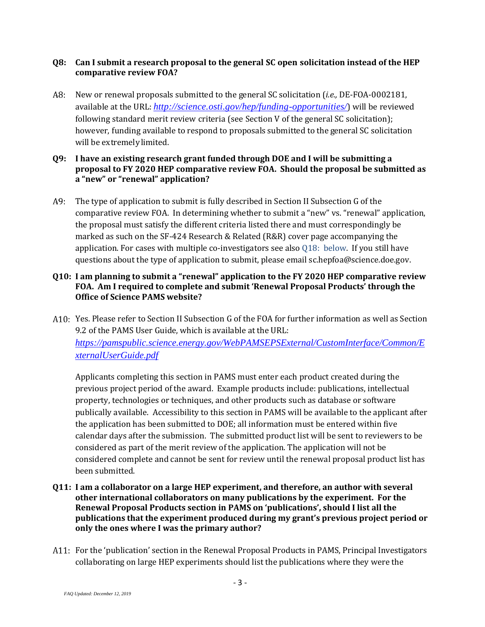#### **Q8: Can I submit a research proposal to the general SC open solicitation instead of the HEP comparative review FOA?**

New or renewal proposals submitted to the general SC solicitation (*i.e.,* DE-FOA-0002181, available at the URL: *<http://science.osti.gov/hep/funding-opportunities/>*) will be reviewed following standard merit review criteria (see Section V of the general SC solicitation); however, funding available to respond to proposals submitted to the general SC solicitation will be extremelylimited.

#### <span id="page-2-0"></span>**Q9: I have an existing research grant funded through DOE and I will be submitting a proposal to FY 2020 HEP comparative review FOA. Should the proposal be submitted as a "new" or "renewal" application?**

A9: The type of application to submit is fully described in Section II Subsection G of the comparative review FOA. In determining whether to submit a "new" vs. "renewal" application, the proposal must satisfy the different criteria listed there and must correspondingly be marked as such on the SF-424 Research & Related (R&R) cover page accompanying the application. For cases with multiple co-investigators see als[o Q18: below.](#page-4-1) If you still have questions about the type of application to submit, please email [sc.hepfoa@science.doe.gov.](mailto:sc.hepfoa@science.doe.gov)

#### **Q10: I am planning to submit a "renewal" application to the FY 2020 HEP comparative review FOA. Am I required to complete and submit 'Renewal Proposal Products' through the Office of Science PAMS website?**

Yes. Please refer to Section II Subsection G of the FOA for further information as well as Section 9.2 of the PAMS User Guide, which is available at the URL: *[https://pamspublic.science.energy.gov/WebPAMSEPSExternal/CustomInterface/Common/E](https://pamspublic.science.energy.gov/WebPAMSEPSExternal/CustomInterface/Common/ExternalUserGuide.pdf) [xternalUserGuide.pdf](https://pamspublic.science.energy.gov/WebPAMSEPSExternal/CustomInterface/Common/ExternalUserGuide.pdf)*

Applicants completing this section in PAMS must enter each product created during the previous project period of the award. Example products include: publications, intellectual property, technologies or techniques, and other products such as database or software publically available. Accessibility to this section in PAMS will be available to the applicant after the application has been submitted to DOE; all information must be entered within five calendar days after the submission. The submitted product list will be sent to reviewers to be considered as part of the merit review of the application. The application will not be considered complete and cannot be sent for review until the renewal proposal product list has been submitted.

- **Q11: I am a collaborator on a large HEP experiment, and therefore, an author with several other international collaborators on many publications by the experiment. For the Renewal Proposal Products section in PAMS on 'publications', should I list all the publications that the experiment produced during my grant's previous project period or only the ones where I was the primary author?**
- For the 'publication' section in the Renewal Proposal Products in PAMS, Principal Investigators collaborating on large HEP experiments should list the publications where they were the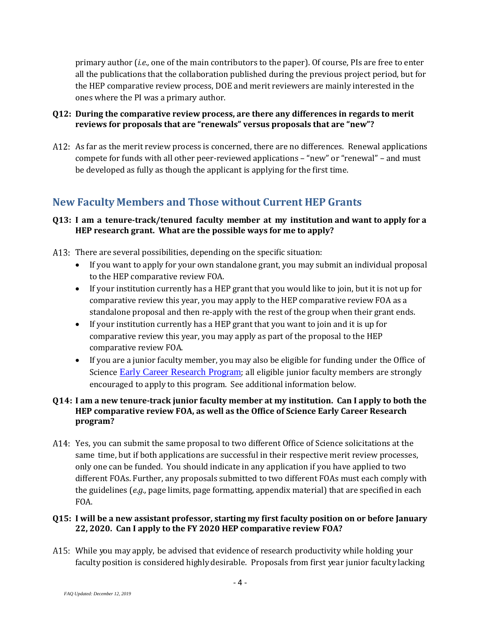primary author (*i.e.,* one of the main contributors to the paper). Of course, PIs are free to enter all the publications that the collaboration published during the previous project period, but for the HEP comparative review process, DOE and merit reviewers are mainly interested in the ones where the PI was a primary author.

#### **Q12: During the comparative review process, are there any differences in regards to merit reviews for proposals that are "renewals" versus proposals that are "new"?**

A12: As far as the merit review process is concerned, there are no differences. Renewal applications compete for funds with all other peer-reviewed applications – "new" or "renewal" – and must be developed as fully as though the applicant is applying for the first time.

# <span id="page-3-0"></span>**New Faculty Members and Those without Current HEP Grants**

#### **Q13: I am a tenure-track/tenured faculty member at my institution and want to apply for a HEP research grant. What are the possible ways for me to apply?**

- A13: There are several possibilities, depending on the specific situation:
	- If you want to apply for your own standalone grant, you may submit an individual proposal to the HEP comparative review FOA.
	- If your institution currently has a HEP grant that you would like to join, but it is not up for comparative review this year, you may apply to the HEP comparative review FOA as a standalone proposal and then re-apply with the rest of the group when their grant ends.
	- If your institution currently has a HEP grant that you want to join and it is up for comparative review this year, you may apply as part of the proposal to the HEP comparative review FOA.
	- If you are a junior faculty member, you may also be eligible for funding under the [Office](http://science.osti.gov/hep/funding-opportunities/) of [Science](http://science.osti.gov/hep/funding-opportunities/) [Early Career](http://science.osti.gov/early-career/) Research Program; all eligible junior faculty members are strongly encouraged to apply to this program. See additional information below.

#### **Q14: I am a new tenure-track junior faculty member at my institution. Can I apply to both the HEP comparative review FOA, as well as the Office of Science Early Career Research program?**

A14: Yes, you can submit the same proposal to two different Office of Science solicitations at the same time, but if both applications are successful in their respective merit review processes, only one can be funded. You should indicate in any application if you have applied to two different FOAs. Further, any proposals submitted to two different FOAs must each comply with the guidelines (*e.g.,* page limits, page formatting, appendix material) that are specified in each FOA.

#### **Q15: I will be a new assistant professor, starting my first faculty position on or before January 22, 2020. Can I apply to the FY 2020 HEP comparative review FOA?**

A15: While you may apply, be advised that evidence of research productivity while holding your facultyposition is considered highly desirable. Proposals from first year junior faculty lacking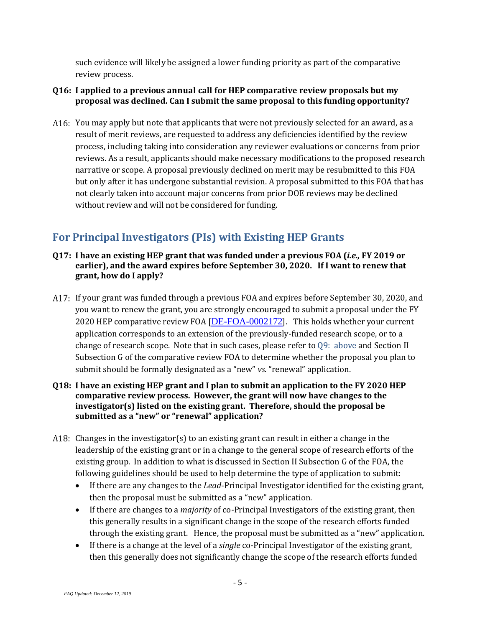such evidence will likely be assigned a lower funding priority as part of the comparative review process.

- **Q16: I applied to a previous annual call for HEP comparative review proposals but my proposal was declined. Can I submit the same proposal to this funding opportunity?**
- A16: You may apply but note that applicants that were not previously selected for an award, as a result of merit reviews, are requested to address any deficiencies identified by the review process, including taking into consideration any reviewer evaluations or concerns from prior reviews. As a result, applicants should make necessary modifications to the proposed research narrative or scope. A proposal previously declined on merit may be resubmitted to this FOA but only after it has undergone substantial revision. A proposal submitted to this FOA that has not clearly taken into account major concerns from prior DOE reviews may be declined without review and will not be considered for funding.

# <span id="page-4-0"></span>**For Principal Investigators (PIs) with Existing HEP Grants**

- **Q17: I have an existing HEP grant that was funded under a previous FOA (***i.e.,* **FY 2019 or earlier), and the award expires before September 30, 2020. If I want to renew that grant, how do I apply?**
- If your grant was funded through a previous FOA and expires before September 30, 2020, and you want to renew the grant, you are strongly encouraged to submit a proposal under the FY 2020 HEP comparative review FOA [[DE-FOA-0002172](https://science.osti.gov/hep/Funding-Opportunities/)]. This holds whether your current application corresponds to an extension of the previously-funded research scope, or to a change of research scope. Note that in such cases, please refer to [Q9: above](#page-2-0) and Section II Subsection G of the comparative review FOA to determine whether the proposal you plan to submit should be formally designated as a "new" *vs.* "renewal" application.

#### <span id="page-4-1"></span>**Q18: I have an existing HEP grant and I plan to submit an application to the FY 2020 HEP comparative review process. However, the grant will now have changes to the investigator(s) listed on the existing grant. Therefore, should the proposal be submitted as a "new" or "renewal" application?**

- A18: Changes in the investigator(s) to an existing grant can result in either a change in the leadership of the existing grant or in a change to the general scope of research efforts of the existing group. In addition to what is discussed in Section II Subsection G of the FOA, the following guidelines should be used to help determine the type of application to submit:
	- If there are any changes to the *Lead*-Principal Investigator identified for the existing grant, then the proposal must be submitted as a "new" application.
	- If there are changes to a *majority* of co-Principal Investigators of the existing grant, then this generally results in a significant change in the scope of the research efforts funded through the existing grant. Hence, the proposal must be submitted as a "new" application.
	- If there is a change at the level of a *single* co-Principal Investigator of the existing grant, then this generally does not significantly change the scope of the research efforts funded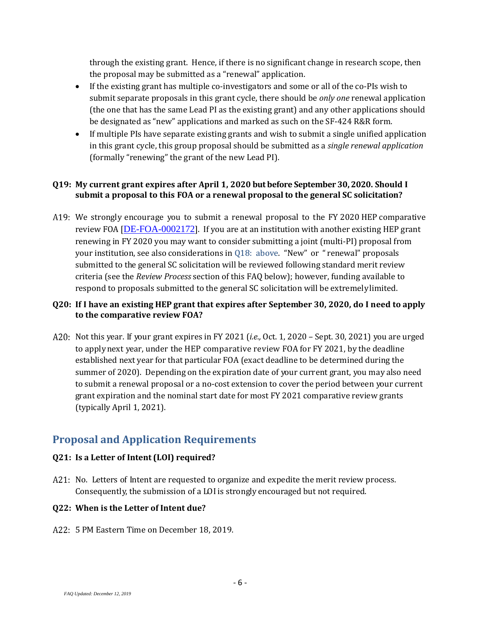through the existing grant. Hence, if there is no significant change in research scope, then the proposal may be submitted as a "renewal" application.

- If the existing grant has multiple co-investigators and some or all of the co-PIs wish to submit separate proposals in this grant cycle, there should be *only one* renewal application (the one that has the same Lead PI as the existing grant) and any other applications should be designated as "new" applications and marked as such on the SF-424 R&R form.
- If multiple PIs have separate existing grants and wish to submit a single unified application in this grant cycle, this group proposal should be submitted as a *single renewal application* (formally "renewing" the grant of the new Lead PI).

#### **Q19: My current grant expires after April 1, 2020 but before September 30, 2020. Should I submit a proposal to this FOA or a renewal proposal to the general SC solicitation?**

A19: We strongly encourage you to submit a renewal proposal to the FY 2020 HEP comparative review FOA [[DE-FOA-0002172](https://science.osti.gov/hep/Funding-Opportunities/)]. If you are at an institution with another existing HEP grant renewing in FY 2020 you may want to consider submitting a joint (multi-PI) proposal from your institution, see also considerations in [Q18: above.](#page-4-1) "New" or " renewal" proposals submitted to the general SC solicitation will be reviewed following standard merit review criteria (see the *Review Process* section of this FAQ below); however, funding available to respond to proposals submitted to the general SC solicitation will be extremelylimited.

#### **Q20: If I have an existing HEP grant that expires after September 30, 2020, do I need to apply to the comparative review FOA?**

Not this year. If your grant expires in FY 2021 (*i.e.,* Oct. 1, 2020 – Sept. 30, 2021) you are urged to applynext year, under the HEP comparative review FOA for FY 2021, by the deadline established next year for that particular FOA (exact deadline to be determined during the summer of 2020). Depending on the expiration date of your current grant, you may also need to submit a renewal proposal or a no-cost extension to cover the period between your current grant expiration and the nominal start date for most FY 2021 comparative review grants (typically April 1, 2021).

# <span id="page-5-0"></span>**Proposal and Application Requirements**

#### **Q21: Is a Letter of Intent (LOI) required?**

A21: No. Letters of Intent are requested to organize and expedite the merit review process. Consequently, the submission of a LOIis strongly encouraged but not required.

## **Q22: When is the Letter of Intent due?**

5 PM Eastern Time on December 18, 2019.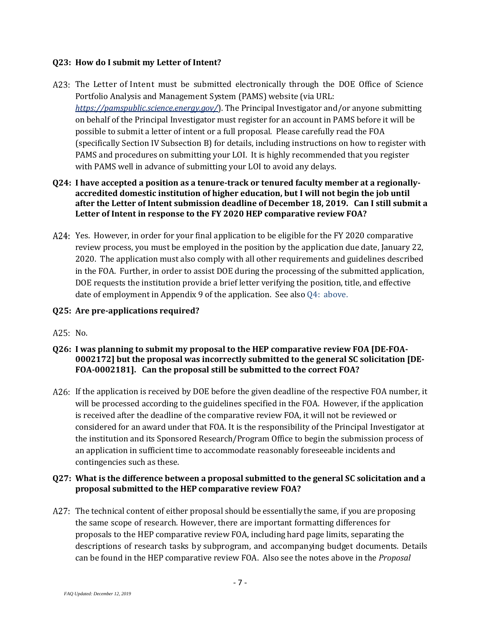#### **Q23: How do I submit my Letter of Intent?**

- A23: The Letter of Intent must be submitted electronically through the DOE Office of Science Portfolio Analysis and Management System (PAMS) website (via URL: *<https://pamspublic.science.energy.gov/>*). The Principal Investigator and/or anyone submitting on behalf of the Principal Investigator must register for an account in PAMS before it will be possible to submit a letter of intent or a full proposal. Please carefully read the FOA (specifically Section IV Subsection B) for details, including instructions on how to register with PAMS and procedures on submitting your LOI. It is highly recommended that you register with PAMS well in advance of submitting your LOI to avoid any delays.
- **Q24: I have accepted a position as a tenure-track or tenured faculty member at a regionallyaccredited domestic institution of higher education, but I will not begin the job until after the Letter of Intent submission deadline of December 18, 2019. Can I still submit a Letter of Intent in response to the FY 2020 HEP comparative review FOA?**
- A24: Yes. However, in order for your final application to be eligible for the FY 2020 comparative review process, you must be employed in the position by the application due date, January 22, 2020. The application must also comply with all other requirements and guidelines described in the FOA. Further, in order to assist DOE during the processing of the submitted application, DOE requests the institution provide a brief letter verifying the position, title, and effective date of employment in Appendix 9 of the application. See also [Q4: above.](#page-1-1)
- **Q25: Are pre-applications required?**
- A25 No.
- **Q26: I was planning to submit my proposal to the HEP comparative review FOA [DE-FOA-0002172] but the proposal was incorrectly submitted to the general SC solicitation [DE-FOA-0002181]. Can the proposal still be submitted to the correct FOA?**
- A26: If the application is received by DOE before the given deadline of the respective FOA number, it will be processed according to the guidelines specified in the FOA. However, if the application is received after the deadline of the comparative review FOA, it will not be reviewed or considered for an award under that FOA. It is the responsibility of the Principal Investigator at the institution and its Sponsored Research/Program Office to begin the submission process of an application in sufficient time to accommodate reasonably foreseeable incidents and contingencies such as these.

#### **Q27: What is the difference between a proposal submitted to the general SC solicitation and a proposal submitted to the HEP comparative review FOA?**

A27: The technical content of either proposal should be essentially the same, if you are proposing the same scope of research. However, there are important formatting differences for proposals to the HEP comparative review FOA, including hard page limits, separating the descriptions of research tasks by subprogram, and accompanying budget documents. Details can be found in the HEP comparative review FOA. Also see the notes above in the *Proposal*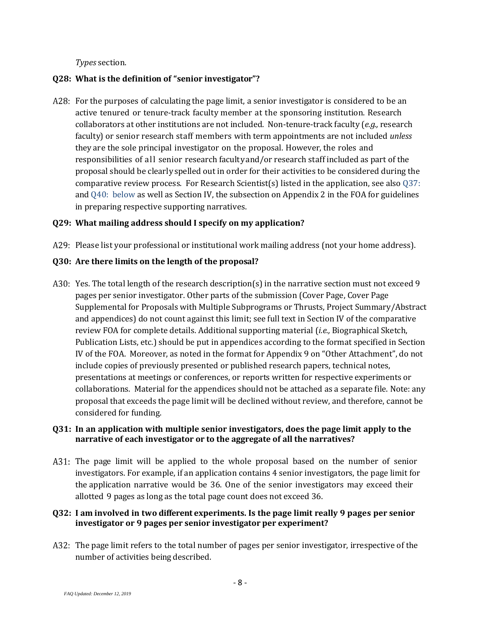*Types* section.

#### **Q28: What is the definition of "senior investigator"?**

A28: For the purposes of calculating the page limit, a senior investigator is considered to be an active tenured or tenure-track faculty member at the sponsoring institution. Research collaborators at other institutions are not included. Non-tenure-track faculty (*e.g.,* research faculty) or senior research staff members with term appointments are not included *unless* they are the sole principal investigator on the proposal. However, the roles and responsibilities of all senior research facultyand/or research staff included as part of the proposal should be clearlyspelled out in order for their activities to be considered during the comparative review process. For Research Scientist(s) listed in the application, see als[o Q37:](#page-8-0)  and [Q40: below](#page-9-0) as well as Section IV, the subsection on Appendix 2 in the FOA for guidelines in preparing respective supporting narratives.

#### **Q29: What mailing address should I specify on my application?**

A29: Please list your professional or institutional work mailing address (not your home address).

#### **Q30: Are there limits on the length of the proposal?**

A30: Yes. The total length of the research description(s) in the narrative section must not exceed 9 pages per senior investigator. Other parts of the submission (Cover Page, Cover Page Supplemental for Proposals with Multiple Subprograms or Thrusts, Project Summary/Abstract and appendices) do not count against this limit; see full text in Section IV of the comparative review FOA for complete details. Additional supporting material (*i.e.,* Biographical Sketch, Publication Lists, etc.) should be put in appendices according to the format specified in Section IV of the FOA. Moreover, as noted in the format for Appendix 9 on "Other Attachment", do not include copies of previously presented or published research papers, technical notes, presentations at meetings or conferences, or reports written for respective experiments or collaborations. Material for the appendices should not be attached as a separate file. Note: any proposal that exceeds the page limit will be declined without review, and therefore, cannot be considered for funding.

#### **Q31: In an application with multiple senior investigators, does the page limit apply to the narrative of each investigator or to the aggregate of all the narratives?**

A31: The page limit will be applied to the whole proposal based on the number of senior investigators. For example, if an application contains 4 senior investigators, the page limit for the application narrative would be 36. One of the senior investigators may exceed their allotted 9 pages as long as the total page count does not exceed 36.

#### **Q32: I am involved in two different experiments. Is the page limit really 9 pages per senior investigator or 9 pages per senior investigator per experiment?**

A32: The page limit refers to the total number of pages per senior investigator, irrespective of the number of activities being described.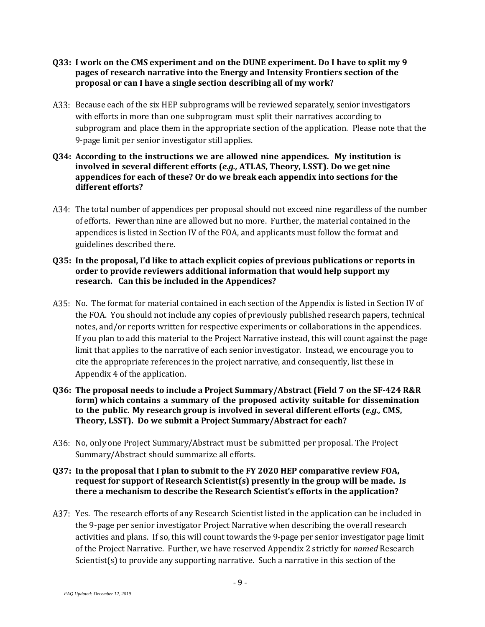- **Q33: I work on the CMS experiment and on the DUNE experiment. Do I have to split my 9 pages of research narrative into the Energy and Intensity Frontiers section of the proposal or can I have a single section describing all of my work?**
- A33: Because each of the six HEP subprograms will be reviewed separately, senior investigators with efforts in more than one subprogram must split their narratives according to subprogram and place them in the appropriate section of the application. Please note that the 9-page limit per senior investigator still applies.
- **Q34: According to the instructions we are allowed nine appendices. My institution is involved in several different efforts (***e.g.,* **ATLAS, Theory, LSST). Do we get nine appendices for each of these? Or do we break each appendix into sections for the different efforts?**
- A34: The total number of appendices per proposal should not exceed nine regardless of the number of efforts. Fewer than nine are allowed but no more. Further, the material contained in the appendices is listed in Section IV of the FOA, and applicants must follow the format and guidelines described there.

#### **Q35: In the proposal, I'd like to attach explicit copies of previous publications or reports in order to provide reviewers additional information that would help support my research. Can this be included in the Appendices?**

- A35: No. The format for material contained in each section of the Appendix is listed in Section IV of the FOA. You should not include any copies of previously published research papers, technical notes, and/or reports written for respective experiments or collaborations in the appendices. If you plan to add this material to the Project Narrative instead, this will count against the page limit that applies to the narrative of each senior investigator. Instead, we encourage you to cite the appropriate references in the project narrative, and consequently, list these in Appendix 4 of the application.
- **Q36: The proposal needs to include a Project Summary/Abstract (Field 7 on the SF-424 R&R form) which contains a summary of the proposed activity suitable for dissemination to the public. My research group is involved in several different efforts (***e.g.,* **CMS, Theory, LSST). Do we submit a Project Summary/Abstract for each?**
- A36: No, only one Project Summary/Abstract must be submitted per proposal. The Project Summary/Abstract should summarize all efforts.

#### <span id="page-8-0"></span>**Q37: In the proposal that I plan to submit to the FY 2020 HEP comparative review FOA, request for support of Research Scientist(s) presently in the group will be made. Is there a mechanism to describe the Research Scientist's efforts in the application?**

A37: Yes. The research efforts of any Research Scientist listed in the application can be included in the 9-page per senior investigator Project Narrative when describing the overall research activities and plans. If so, this will count towards the 9-page per senior investigator page limit of the Project Narrative. Further, we have reserved Appendix 2 strictly for *named* Research Scientist(s) to provide any supporting narrative. Such a narrative in this section of the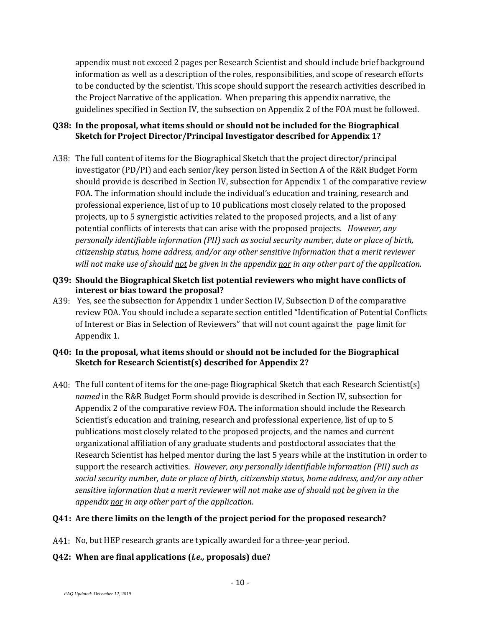appendix must not exceed 2 pages per Research Scientist and should include brief background information as well as a description of the roles, responsibilities, and scope of research efforts to be conducted by the scientist. This scope should support the research activities described in the Project Narrative of the application. When preparing this appendix narrative, the guidelines specified in Section IV, the subsection on Appendix 2 of the FOA must be followed.

#### **Q38: In the proposal, what items should or should not be included for the Biographical Sketch for Project Director/Principal Investigator described for Appendix 1?**

- The full content of items for the Biographical Sketch that the project director/principal investigator (PD/PI) and each senior/key person listed in Section A of the R&R Budget Form should provide is described in Section IV, subsection for Appendix 1 of the comparative review FOA. The information should include the individual's education and training, research and professional experience, list of up to 10 publications most closely related to the proposed projects, up to 5 synergistic activities related to the proposed projects, and a list of any potential conflicts of interests that can arise with the proposed projects. *However, any personally identifiable information (PII) such as social security number, date or place of birth, citizenship status, home address, and/or any other sensitive information that a merit reviewer will not make use of should not be given in the appendix nor in any other part of the application.*
- **Q39: Should the Biographical Sketch list potential reviewers who might have conflicts of interest or bias toward the proposal?**
- A39: Yes, see the subsection for Appendix 1 under Section IV, Subsection D of the comparative review FOA. You should include a separate section entitled "Identification of Potential Conflicts of Interest or Bias in Selection of Reviewers" that will not count against the page limit for Appendix 1.

#### <span id="page-9-0"></span>**Q40: In the proposal, what items should or should not be included for the Biographical Sketch for Research Scientist(s) described for Appendix 2?**

A40: The full content of items for the one-page Biographical Sketch that each Research Scientist(s) *named* in the R&R Budget Form should provide is described in Section IV, subsection for Appendix 2 of the comparative review FOA. The information should include the Research Scientist's education and training, research and professional experience, list of up to 5 publications most closely related to the proposed projects, and the names and current organizational affiliation of any graduate students and postdoctoral associates that the Research Scientist has helped mentor during the last 5 years while at the institution in order to support the research activities. *However, any personally identifiable information (PII) such as social security number, date or place of birth, citizenship status, home address, and/or any other sensitive information that a merit reviewer will not make use of should not be given in the appendix nor in any other part of the application.*

#### **Q41: Are there limits on the length of the project period for the proposed research?**

A41: No, but HEP research grants are typically awarded for a three-year period.

#### **Q42: When are final applications (***i.e.,* **proposals) due?**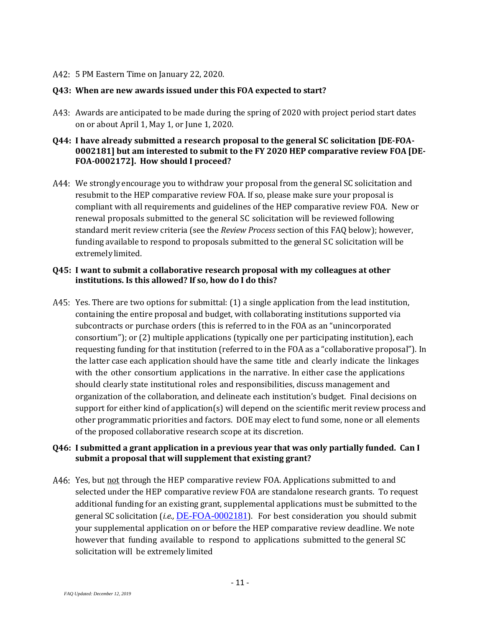5 PM Eastern Time on January 22, 2020.

#### **Q43: When are new awards issued under this FOA expected to start?**

A43: Awards are anticipated to be made during the spring of 2020 with project period start dates on or about April 1, May 1, or June 1, 2020.

#### **Q44: I have already submitted a research proposal to the general SC solicitation [DE-FOA-0002181] but am interested to submit to the FY 2020 HEP comparative review FOA [DE-FOA-0002172]. How should I proceed?**

A44: We strongly encourage you to withdraw your proposal from the general SC solicitation and resubmit to the HEP comparative review FOA. If so, please make sure your proposal is compliant with all requirements and guidelines of the HEP comparative review FOA. New or renewal proposals submitted to the general SC solicitation will be reviewed following standard merit review criteria (see the *Review Process* section of this FAQ below); however, funding available to respond to proposals submitted to the general SC solicitation will be extremelylimited.

#### **Q45: I want to submit a collaborative research proposal with my colleagues at other institutions. Is this allowed? If so, how do I do this?**

A45: Yes. There are two options for submittal: (1) a single application from the lead institution, containing the entire proposal and budget, with collaborating institutions supported via subcontracts or purchase orders (this is referred to in the FOA as an "unincorporated consortium"); or (2) multiple applications (typically one per participating institution), each requesting funding for that institution (referred to in the FOA as a "collaborative proposal"). In the latter case each application should have the same title and clearly indicate the linkages with the other consortium applications in the narrative. In either case the applications should clearly state institutional roles and responsibilities, discuss management and organization of the collaboration, and delineate each institution's budget. Final decisions on support for either kind of application(s) will depend on the scientific merit review process and other programmatic priorities and factors. DOE may elect to fund some, none or all elements of the proposed collaborative research scope at its discretion.

#### **Q46: I submitted a grant application in a previous year that was only partially funded. Can I submit a proposal that will supplement that existing grant?**

A46: Yes, but not through the HEP comparative review FOA. Applications submitted to and selected under the HEP comparative review FOA are standalone research grants. To request additional funding for an existing grant, supplemental applications must be submitted to the general SC solicitation (*i.e.,* [DE-FOA-0002181](https://science.osti.gov/-/media/grants/pdf/foas/2020/SC_FOA_0002181.pdf)). For best consideration you should submit your supplemental application on or before the HEP comparative review deadline. We note however that funding available to respond to applications submitted to the general SC solicitation will be extremely limited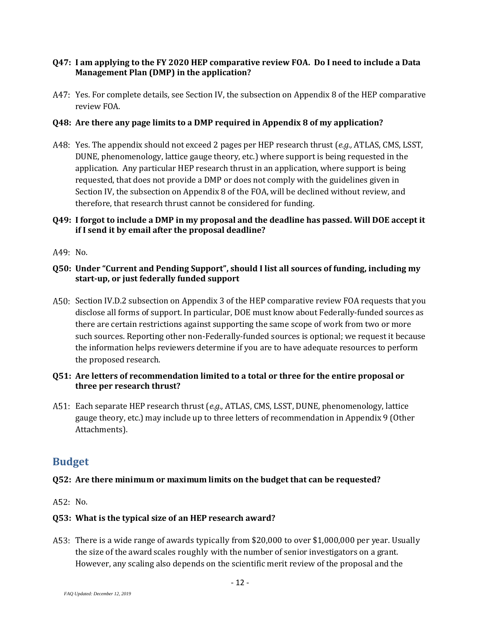#### **Q47: I am applying to the FY 2020 HEP comparative review FOA. Do I need to include a Data Management Plan (DMP) in the application?**

A47: Yes. For complete details, see Section IV, the subsection on Appendix 8 of the HEP comparative review FOA.

#### **Q48: Are there any page limits to a DMP required in Appendix 8 of my application?**

Yes. The appendix should not exceed 2 pages per HEP research thrust (*e.g.,* ATLAS, CMS, LSST, DUNE, phenomenology, lattice gauge theory, etc.) where support is being requested in the application. Any particular HEP research thrust in an application, where support is being requested, that does not provide a DMP or does not comply with the guidelines given in Section IV, the subsection on Appendix 8 of the FOA, will be declined without review, and therefore, that research thrust cannot be considered for funding.

#### **Q49: I forgot to include a DMP in my proposal and the deadline has passed. Will DOE accept it if I send it by email after the proposal deadline?**

A49 No.

#### **Q50: Under "Current and Pending Support", should I list all sources of funding, including my start-up, or just federally funded support**

A50: Section IV.D.2 subsection on Appendix 3 of the HEP comparative review FOA requests that you disclose all forms of support. In particular, DOE must know about Federally-funded sources as there are certain restrictions against supporting the same scope of work from two or more such sources. Reporting other non-Federally-funded sources is optional; we request it because the information helps reviewers determine if you are to have adequate resources to perform the proposed research.

#### **Q51: Are letters of recommendation limited to a total or three for the entire proposal or three per research thrust?**

Each separate HEP research thrust (*e.g.,* ATLAS, CMS, LSST, DUNE, phenomenology, lattice gauge theory, etc.) may include up to three letters of recommendation in Appendix 9 (Other Attachments).

## <span id="page-11-0"></span>**Budget**

#### **Q52: Are there minimum or maximum limits on the budget that can be requested?**

A52 No.

#### **Q53: What is the typical size of an HEP research award?**

A53: There is a wide range of awards typically from \$20,000 to over \$1,000,000 per year. Usually the size of the awardscales roughly with the number of senior investigators on a grant. However, any scaling also depends on the scientific merit review of the proposal and the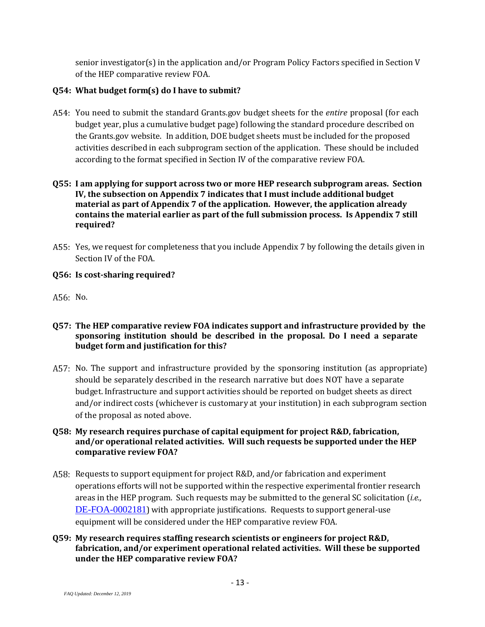senior investigator(s) in the application and/or Program Policy Factors specified in Section V of the HEP comparative review FOA.

#### **Q54: What budget form(s) do I have to submit?**

A54: You need to submit the standard Grants.gov budget sheets for the *entire* proposal (for each budget year, plus a cumulative budget page) following the standard procedure described on the Grants.gov website. In addition, DOE budget sheets must be included for the proposed activities described in each subprogram section of the application. These should be included according to the format specified in Section IV of the comparative review FOA.

#### **Q55: I am applying for support across two or more HEP research subprogram areas. Section IV, the subsection on Appendix 7 indicates that I must include additional budget material as part of Appendix 7 of the application. However, the application already contains the material earlier as part of the full submission process. Is Appendix 7 still required?**

A55: Yes, we request for completeness that you include Appendix 7 by following the details given in Section IV of the FOA.

#### **Q56: Is cost-sharing required?**

A56: No.

- **Q57: The HEP comparative review FOA indicates support and infrastructure provided by the sponsoring institution should be described in the proposal. Do I need a separate budget form and justification for this?**
- A57: No. The support and infrastructure provided by the sponsoring institution (as appropriate) should be separately described in the research narrative but does NOT have a separate budget. Infrastructure and support activities should be reported on budget sheets as direct and/or indirect costs (whichever is customary at your institution) in each subprogram section of the proposal as noted above.

#### **Q58: My research requires purchase of capital equipment for project R&D, fabrication, and/or operational related activities. Will such requests be supported under the HEP comparative review FOA?**

- A58: Requests to support equipment for project R&D, and/or fabrication and experiment operations efforts will not be supported within the respective experimental frontier research areas in the HEP program. Such requests may be submitted to the general SC solicitation (*i.e.,* [DE-FOA-0002181](https://science.osti.gov/-/media/grants/pdf/foas/2020/SC_FOA_0002181.pdf)) with appropriate justifications. Requests to support general-use equipment will be considered under the HEP comparative review FOA.
- **Q59: My research requires staffing research scientists or engineers for project R&D, fabrication, and/or experiment operational related activities. Will these be supported under the HEP comparative review FOA?**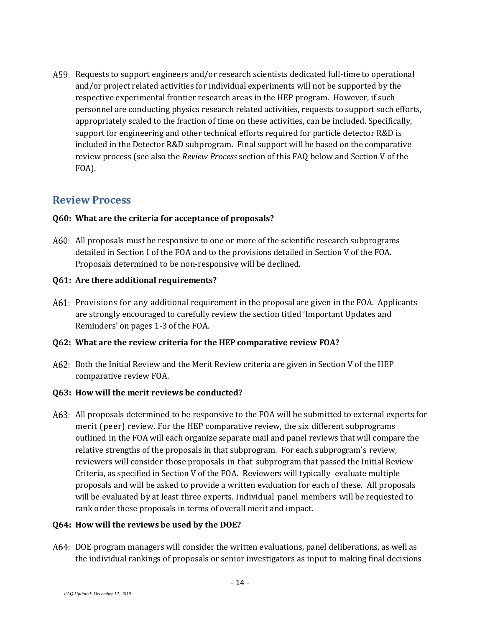Requests to support engineers and/or research scientists dedicated full-time to operational and/or project related activities for individual experiments will not be supported by the respective experimental frontier research areas in the HEP program. However, if such personnel are conducting physics research related activities, requests to support such efforts, appropriately scaled to the fraction of time on these activities, can be included. Specifically, support for engineering and other technical efforts required for particle detector R&D is included in the Detector R&D subprogram. Final support will be based on the comparative review process (see also the *Review Process* section of this FAQ below and Section V of the FOA).

## <span id="page-13-0"></span>**Review Process**

#### **Q60: What are the criteria for acceptance of proposals?**

A60: All proposals must be responsive to one or more of the scientific research subprograms detailed in Section I of the FOA and to the provisions detailed in Section V of the FOA. Proposals determined to be non-responsive will be declined.

#### **Q61: Are there additional requirements?**

Provisions for any additional requirement in the proposal are given in the FOA. Applicants are strongly encouraged to carefully review the section titled 'Important Updates and Reminders' on pages 1-3 of the FOA.

#### **Q62: What are the review criteria for the HEP comparative review FOA?**

A62: Both the Initial Review and the Merit Review criteria are given in Section V of the HEP comparative review FOA.

#### **Q63: How will the merit reviews be conducted?**

A63: All proposals determined to be responsive to the FOA will be submitted to external experts for merit (peer) review. For the HEP comparative review, the six different subprograms outlined in the FOA will each organize separate mail and panel reviews that will compare the relative strengths of the proposals in that subprogram. For each subprogram's review, reviewers will consider those proposals in that subprogram that passed the Initial Review Criteria, as specified in Section V of the FOA. Reviewers will typically evaluate multiple proposals and will be asked to provide a written evaluation for each of these. All proposals will be evaluated by at least three experts. Individual panel members will be requested to rank order these proposals in terms of overall merit and impact.

#### **Q64: How will the reviews be used by the DOE?**

DOE program managers will consider the written evaluations, panel deliberations, as well as the individual rankings of proposals or senior investigators as input to making final decisions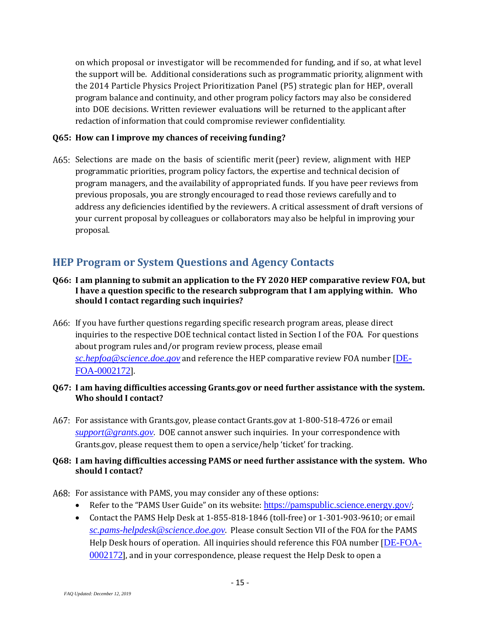on which proposal or investigator will be recommended for funding, and if so, at what level the support will be. Additional considerations such as programmatic priority, alignment with the 2014 Particle Physics Project Prioritization Panel (P5) strategic plan for HEP, overall program balance and continuity, and other program policy factors may also be considered into DOE decisions. Written reviewer evaluations will be returned to the applicant after redaction of information that could compromise reviewer confidentiality.

#### **Q65: How can I improve my chances of receiving funding?**

A65: Selections are made on the basis of scientific merit (peer) review, alignment with HEP programmatic priorities, program policy factors, the expertise and technical decision of program managers, and the availability of appropriated funds. If you have peer reviews from previous proposals, you are strongly encouraged to read those reviews carefully and to address any deficiencies identified by the reviewers. A critical assessment of draft versions of your current proposal by colleagues or collaborators may also be helpful in improving your proposal.

# <span id="page-14-0"></span>**HEP Program or System Questions and Agency Contacts**

- **Q66: I am planning to submit an application to the FY 2020 HEP comparative review FOA, but I have a question specific to the research subprogram that I am applying within. Who should I contact regarding such inquiries?**
- A66: If you have further questions regarding specific research program areas, please direct inquiries to the respective DOE technical contact listed in Section I of the FOA. For questions about program rules and/or program review process, please email *[sc.hepfoa@science.doe.gov](mailto:sc.hepfoa@science.doe.gov)* and reference the HEP comparative review FOA number [[DE-](https://science.osti.gov/hep/Funding-Opportunities/)[FOA-0002172](https://science.osti.gov/hep/Funding-Opportunities/)].
- **Q67: I am having difficulties accessing Grants.gov or need further assistance with the system. Who should I contact?**
- For assistance with Grants.gov, please contact Grants.gov at 1-800-518-4726 or email *[support@grants.gov](mailto:support@grants.gov)*. DOE cannot answer such inquiries. In your correspondence with Grants.gov, please request them to open a service/help 'ticket' for tracking.

#### **Q68: I am having difficulties accessing PAMS or need further assistance with the system. Who should I contact?**

- A68: For assistance with PAMS, you may consider any of these options:
	- Refer to the "PAMS User Guide" on its website: <https://pamspublic.science.energy.gov/>;
	- Contact the PAMS Help Desk at 1-855-818-1846 (toll-free) or 1-301-903-9610; or email *[sc.pams-helpdesk@science.doe.gov](mailto:sc.pams-helpdesk@science.doe.gov)*. Please consult Section VII of the FOA for the PAMS Help Desk hours of operation. All inquiries should reference this FOA number [[DE-FOA-](https://science.osti.gov/hep/Funding-Opportunities/)[0002172](https://science.osti.gov/hep/Funding-Opportunities/)], and in your correspondence, please request the Help Desk to open a